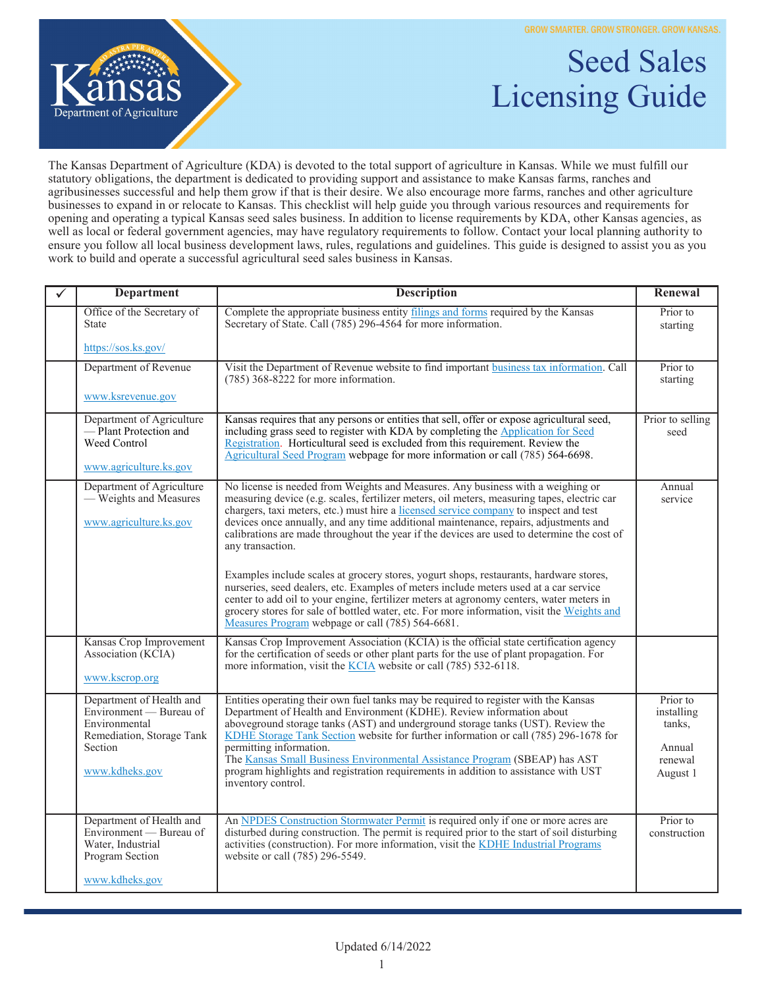**GROW SMARTER. GROW STRONGER. GROW KANSAS.** 

Licensing Guide

Seed Sales



The Kansas Department of Agriculture (KDA) is devoted to the total support of agriculture in Kansas. While we must fulfill our statutory obligations, the department is dedicated to providing support and assistance to make Kansas farms, ranches and agribusinesses successful and help them grow if that is their desire. We also encourage more farms, ranches and other agriculture businesses to expand in or relocate to Kansas. This checklist will help guide you through various resources and requirements for opening and operating a typical Kansas seed sales business. In addition to license requirements by KDA, other Kansas agencies, as well as local or federal government agencies, may have regulatory requirements to follow. Contact your local planning authority to ensure you follow all local business development laws, rules, regulations and guidelines. This guide is designed to assist you as you work to build and operate a successful agricultural seed sales business in Kansas.

| <b>Department</b>                                                                                                              | <b>Description</b>                                                                                                                                                                                                                                                                                                                                                                                                                                                                                                                                                                                                                                                   | Renewal                                                           |
|--------------------------------------------------------------------------------------------------------------------------------|----------------------------------------------------------------------------------------------------------------------------------------------------------------------------------------------------------------------------------------------------------------------------------------------------------------------------------------------------------------------------------------------------------------------------------------------------------------------------------------------------------------------------------------------------------------------------------------------------------------------------------------------------------------------|-------------------------------------------------------------------|
| Office of the Secretary of<br><b>State</b>                                                                                     | Complete the appropriate business entity filings and forms required by the Kansas<br>Secretary of State. Call (785) 296-4564 for more information.                                                                                                                                                                                                                                                                                                                                                                                                                                                                                                                   | Prior to<br>starting                                              |
| https://sos.ks.gov/                                                                                                            |                                                                                                                                                                                                                                                                                                                                                                                                                                                                                                                                                                                                                                                                      |                                                                   |
| Department of Revenue                                                                                                          | Visit the Department of Revenue website to find important business tax information. Call<br>$(785)$ 368-8222 for more information.                                                                                                                                                                                                                                                                                                                                                                                                                                                                                                                                   | Prior to<br>starting                                              |
| www.ksrevenue.gov                                                                                                              |                                                                                                                                                                                                                                                                                                                                                                                                                                                                                                                                                                                                                                                                      |                                                                   |
| Department of Agriculture<br>-Plant Protection and<br>Weed Control<br>www.agriculture.ks.gov                                   | Kansas requires that any persons or entities that sell, offer or expose agricultural seed,<br>including grass seed to register with KDA by completing the Application for Seed<br>Registration. Horticultural seed is excluded from this requirement. Review the<br>Agricultural Seed Program webpage for more information or call (785) 564-6698.                                                                                                                                                                                                                                                                                                                   | Prior to selling<br>seed                                          |
| Department of Agriculture<br>- Weights and Measures<br>www.agriculture.ks.gov                                                  | No license is needed from Weights and Measures. Any business with a weighing or<br>measuring device (e.g. scales, fertilizer meters, oil meters, measuring tapes, electric car<br>chargers, taxi meters, etc.) must hire a licensed service company to inspect and test<br>devices once annually, and any time additional maintenance, repairs, adjustments and<br>calibrations are made throughout the year if the devices are used to determine the cost of<br>any transaction.<br>Examples include scales at grocery stores, yogurt shops, restaurants, hardware stores,<br>nurseries, seed dealers, etc. Examples of meters include meters used at a car service | Annual<br>service                                                 |
|                                                                                                                                | center to add oil to your engine, fertilizer meters at agronomy centers, water meters in<br>grocery stores for sale of bottled water, etc. For more information, visit the Weights and<br>Measures Program webpage or call (785) 564-6681.                                                                                                                                                                                                                                                                                                                                                                                                                           |                                                                   |
| Kansas Crop Improvement<br>Association (KCIA)<br>www.kscrop.org                                                                | Kansas Crop Improvement Association (KCIA) is the official state certification agency<br>for the certification of seeds or other plant parts for the use of plant propagation. For<br>more information, visit the KCIA website or call (785) 532-6118.                                                                                                                                                                                                                                                                                                                                                                                                               |                                                                   |
| Department of Health and<br>Environment — Bureau of<br>Environmental<br>Remediation, Storage Tank<br>Section<br>www.kdheks.gov | Entities operating their own fuel tanks may be required to register with the Kansas<br>Department of Health and Environment (KDHE). Review information about<br>aboveground storage tanks (AST) and underground storage tanks (UST). Review the<br>KDHE Storage Tank Section website for further information or call (785) 296-1678 for<br>permitting information.<br>The Kansas Small Business Environmental Assistance Program (SBEAP) has AST<br>program highlights and registration requirements in addition to assistance with UST<br>inventory control.                                                                                                        | Prior to<br>installing<br>tanks,<br>Annual<br>renewal<br>August 1 |
| Department of Health and<br>Environment — Bureau of<br>Water, Industrial<br>Program Section<br>www.kdheks.gov                  | An NPDES Construction Stormwater Permit is required only if one or more acres are<br>disturbed during construction. The permit is required prior to the start of soil disturbing<br>activities (construction). For more information, visit the KDHE Industrial Programs<br>website or call (785) 296-5549.                                                                                                                                                                                                                                                                                                                                                           | Prior to<br>construction                                          |